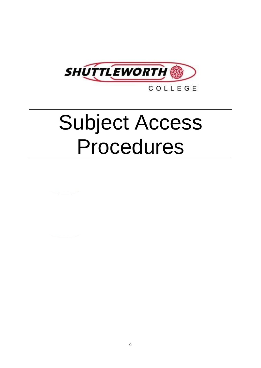

COLLEGE

# Subject Access Procedures

0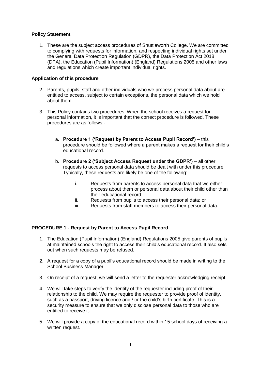# **Policy Statement**

1. These are the subject access procedures of Shuttleworth College. We are committed to complying with requests for information, and respecting individual rights set under the General Data Protection Regulation (GDPR), the Data Protection Act 2018 (DPA), the Education (Pupil Information) (England) Regulations 2005 and other laws and regulations which create important individual rights.

# **Application of this procedure**

- 2. Parents, pupils, staff and other individuals who we process personal data about are entitled to access, subject to certain exceptions, the personal data which we hold about them.
- 3. This Policy contains two procedures. When the school receives a request for personal information, it is important that the correct procedure is followed. These procedures are as follows:
	- a. **Procedure 1 ('Request by Parent to Access Pupil Record')**  this procedure should be followed where a parent makes a request for their child's educational record.
	- b. **Procedure 2 ('Subject Access Request under the GDPR')**  all other requests to access personal data should be dealt with under this procedure. Typically, these requests are likely be one of the following:
		- i. Requests from parents to access personal data that we either process about them or personal data about their child other than their educational record;
		- ii. Requests from pupils to access their personal data; or
		- iii. Requests from staff members to access their personal data.

# **PROCEDURE 1 - Request by Parent to Access Pupil Record**

- 1. The Education (Pupil Information) (England) Regulations 2005 give parents of pupils at maintained schools the right to access their child's educational record. It also sets out when such requests may be refused.
- 2. A request for a copy of a pupil's educational record should be made in writing to the School Business Manager.
- 3. On receipt of a request, we will send a letter to the requester acknowledging receipt.
- 4. We will take steps to verify the identity of the requester including proof of their relationship to the child. We may require the requester to provide proof of identity, such as a passport, driving licence and / or the child's birth certificate. This is a security measure to ensure that we only disclose personal data to those who are entitled to receive it.
- 5. We will provide a copy of the educational record within 15 school days of receiving a written request.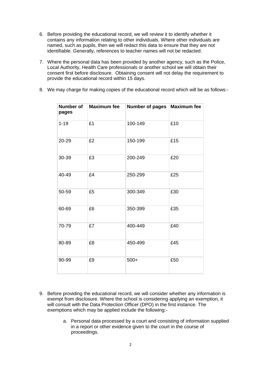- 6. Before providing the educational record, we will review it to identify whether it contains any information relating to other individuals. Where other individuals are named, such as pupils, then we will redact this data to ensure that they are not identifiable. Generally, references to teacher names will not be redacted.
- 7. Where the personal data has been provided by another agency, such as the Police, Local Authority, Health Care professionals or another school we will obtain their consent first before disclosure. Obtaining consent will not delay the requirement to provide the educational record within 15 days.
- 8. We may charge for making copies of the educational record which will be as follows:-

| Number of<br>pages | <b>Maximum fee</b> | <b>Number of pages</b> | Maximum fee |
|--------------------|--------------------|------------------------|-------------|
| $1 - 19$           | £1                 | 100-149                | £10         |
| 20-29              | £2                 | 150-199                | £15         |
| 30-39              | £3                 | 200-249                | £20         |
| 40-49              | £4                 | 250-299                | £25         |
| 50-59              | £5                 | 300-349                | £30         |
| 60-69              | £6                 | 350-399                | £35         |
| 70-79              | £7                 | 400-449                | £40         |
| 80-89              | £8                 | 450-499                | £45         |
| 90-99              | £9                 | $500+$                 | £50         |

- 9. Before providing the educational record, we will consider whether any information is exempt from disclosure. Where the school is considering applying an exemption, it will consult with the Data Protection Officer (DPO) in the first instance. The exemptions which may be applied include the following:
	- a. Personal data processed by a court and consisting of information supplied in a report or other evidence given to the court in the course of proceedings.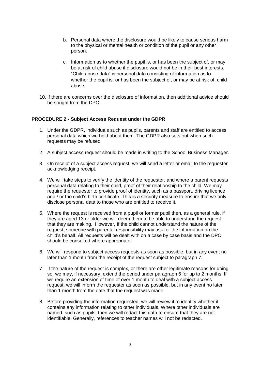- b. Personal data where the disclosure would be likely to cause serious harm to the physical or mental health or condition of the pupil or any other person.
- c. Information as to whether the pupil is, or has been the subject of, or may be at risk of child abuse if disclosure would not be in their best interests. "Child abuse data" is personal data consisting of information as to whether the pupil is, or has been the subject of, or may be at risk of, child abuse.
- 10. If there are concerns over the disclosure of information, then additional advice should be sought from the DPO.

#### **PROCEDURE 2 - Subject Access Request under the GDPR**

- 1. Under the GDPR, individuals such as pupils, parents and staff are entitled to access personal data which we hold about them. The GDPR also sets out when such requests may be refused.
- 2. A subject access request should be made in writing to the School Business Manager.
- 3. On receipt of a subject access request, we will send a letter or email to the requester acknowledging receipt.
- 4. We will take steps to verify the identity of the requester, and where a parent requests personal data relating to their child, proof of their relationship to the child. We may require the requester to provide proof of identity, such as a passport, driving licence and / or the child's birth certificate. This is a security measure to ensure that we only disclose personal data to those who are entitled to receive it.
- 5. Where the request is received from a pupil or former pupil then, as a general rule, if they are aged 13 or older we will deem them to be able to understand the request that they are making. However, If the child cannot understand the nature of the request, someone with parental responsibility may ask for the information on the child's behalf. All requests will be dealt with on a case by case basis and the DPO should be consulted where appropriate.
- 6. We will respond to subject access requests as soon as possible, but in any event no later than 1 month from the receipt of the request subject to paragraph 7.
- 7. If the nature of the request is complex, or there are other legitimate reasons for doing so, we may, if necessary, extend the period under paragraph 6 for up to 2 months. If we require an extension of time of over 1 month to deal with a subject access request, we will inform the requester as soon as possible, but in any event no later than 1 month from the date that the request was made.
- 8. Before providing the information requested, we will review it to identify whether it contains any information relating to other individuals. Where other individuals are named, such as pupils, then we will redact this data to ensure that they are not identifiable. Generally, references to teacher names will not be redacted.